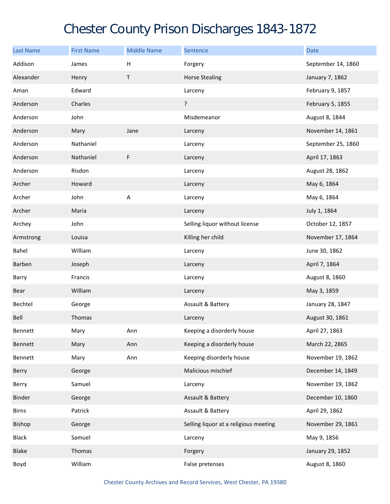## Chester County Prison Discharges 1843-1872

| <b>Last Name</b> | <b>First Name</b> | <b>Middle Name</b> | Sentence                              | <b>Date</b>        |
|------------------|-------------------|--------------------|---------------------------------------|--------------------|
| Addison          | James             | Н                  | Forgery                               | September 14, 1860 |
| Alexander        | Henry             | T                  | <b>Horse Stealing</b>                 | January 7, 1862    |
| Aman             | Edward            |                    | Larceny                               | February 9, 1857   |
| Anderson         | Charles           |                    | ?                                     | February 5, 1855   |
| Anderson         | John              |                    | Misdemeanor                           | August 8, 1844     |
| Anderson         | Mary              | Jane               | Larceny                               | November 14, 1861  |
| Anderson         | Nathaniel         |                    | Larceny                               | September 25, 1860 |
| Anderson         | Nathaniel         | F                  | Larceny                               | April 17, 1863     |
| Anderson         | Risdon            |                    | Larceny                               | August 28, 1862    |
| Archer           | Howard            |                    | Larceny                               | May 6, 1864        |
| Archer           | John              | A                  | Larceny                               | May 6, 1864        |
| Archer           | Maria             |                    | Larceny                               | July 1, 1864       |
| Archey           | John              |                    | Selling liquor without license        | October 12, 1857   |
| Armstrong        | Louisa            |                    | Killing her child                     | November 17, 1864  |
| Bahel            | William           |                    | Larceny                               | June 30, 1862      |
| Barben           | Joseph            |                    | Larceny                               | April 7, 1864      |
| Barry            | Francis           |                    | Larceny                               | August 8, 1860     |
| Bear             | William           |                    | Larceny                               | May 3, 1859        |
| Bechtel          | George            |                    | Assault & Battery                     | January 28, 1847   |
| Bell             | Thomas            |                    | Larceny                               | August 30, 1861    |
| Bennett          | Mary              | Ann                | Keeping a disorderly house            | April 27, 1863     |
| Bennett          | Mary              | Ann                | Keeping a disorderly house            | March 22, 2865     |
| Bennett          | Mary              | Ann                | Keeping disorderly house              | November 19, 1862  |
| Berry            | George            |                    | Malicious mischief                    | December 14, 1849  |
| Berry            | Samuel            |                    | Larceny                               | November 19, 1862  |
| Binder           | George            |                    | Assault & Battery                     | December 10, 1860  |
| <b>Birns</b>     | Patrick           |                    | Assault & Battery                     | April 29, 1862     |
| Bishop           | George            |                    | Selling liquor at a religious meeting | November 29, 1861  |
| <b>Black</b>     | Samuel            |                    | Larceny                               | May 9, 1856        |
| <b>Blake</b>     | Thomas            |                    | Forgery                               | January 29, 1852   |
| Boyd             | William           |                    | False pretenses                       | August 8, 1860     |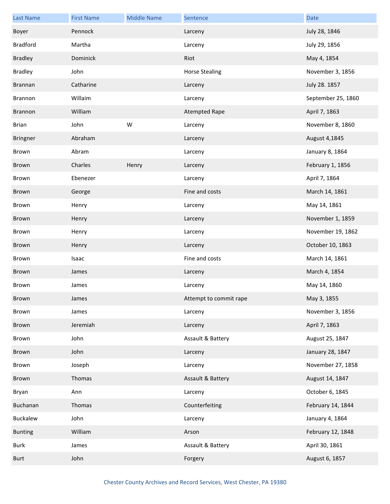| <b>Last Name</b> | <b>First Name</b> | <b>Middle Name</b> | Sentence               | <b>Date</b>        |
|------------------|-------------------|--------------------|------------------------|--------------------|
| Boyer            | Pennock           |                    | Larceny                | July 28, 1846      |
| <b>Bradford</b>  | Martha            |                    | Larceny                | July 29, 1856      |
| <b>Bradley</b>   | Dominick          |                    | Riot                   | May 4, 1854        |
| <b>Bradley</b>   | John              |                    | <b>Horse Stealing</b>  | November 3, 1856   |
| <b>Brannan</b>   | Catharine         |                    | Larceny                | July 28. 1857      |
| Brannon          | Willaim           |                    | Larceny                | September 25, 1860 |
| Brannon          | William           |                    | <b>Atempted Rape</b>   | April 7, 1863      |
| <b>Brian</b>     | John              | W                  | Larceny                | November 8, 1860   |
| Bringner         | Abraham           |                    | Larceny                | August 4,1845      |
| Brown            | Abram             |                    | Larceny                | January 8, 1864    |
| Brown            | Charles           | Henry              | Larceny                | February 1, 1856   |
| Brown            | Ebenezer          |                    | Larceny                | April 7, 1864      |
| Brown            | George            |                    | Fine and costs         | March 14, 1861     |
| Brown            | Henry             |                    | Larceny                | May 14, 1861       |
| Brown            | Henry             |                    | Larceny                | November 1, 1859   |
| Brown            | Henry             |                    | Larceny                | November 19, 1862  |
| Brown            | Henry             |                    | Larceny                | October 10, 1863   |
| Brown            | Isaac             |                    | Fine and costs         | March 14, 1861     |
| Brown            | James             |                    | Larceny                | March 4, 1854      |
| Brown            | James             |                    | Larceny                | May 14, 1860       |
| Brown            | James             |                    | Attempt to commit rape | May 3, 1855        |
| Brown            | James             |                    | Larceny                | November 3, 1856   |
| Brown            | Jeremiah          |                    | Larceny                | April 7, 1863      |
| Brown            | John              |                    | Assault & Battery      | August 25, 1847    |
| Brown            | John              |                    | Larceny                | January 28, 1847   |
| Brown            | Joseph            |                    | Larceny                | November 27, 1858  |
| Brown            | Thomas            |                    | Assault & Battery      | August 14, 1847    |
| Bryan            | Ann               |                    | Larceny                | October 6, 1845    |
| Buchanan         | Thomas            |                    | Counterfeiting         | February 14, 1844  |
| Buckalew         | John              |                    | Larceny                | January 4, 1864    |
| <b>Bunting</b>   | William           |                    | Arson                  | February 12, 1848  |
| Burk             | James             |                    | Assault & Battery      | April 30, 1861     |
| <b>Burt</b>      | John              |                    | Forgery                | August 6, 1857     |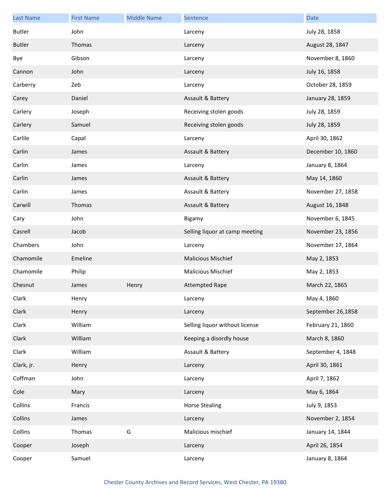| Last Name     | <b>First Name</b> | <b>Middle Name</b> | Sentence                       | <b>Date</b>       |
|---------------|-------------------|--------------------|--------------------------------|-------------------|
| <b>Butler</b> | John              |                    | Larceny                        | July 28, 1858     |
| <b>Butler</b> | Thomas            |                    | Larceny                        | August 28, 1847   |
| Bye           | Gibson            |                    | Larceny                        | November 8, 1860  |
| Cannon        | John              |                    | Larceny                        | July 16, 1858     |
| Carberry      | Zeb               |                    | Larceny                        | October 28, 1859  |
| Carey         | Daniel            |                    | Assault & Battery              | January 28, 1859  |
| Carlery       | Joseph            |                    | Receiving stolen goods         | July 28, 1859     |
| Carlery       | Samuel            |                    | Receiving stolen goods         | July 28, 1859     |
| Carlile       | Capal             |                    | Larceny                        | April 30, 1862    |
| Carlin        | James             |                    | Assault & Battery              | December 10, 1860 |
| Carlin        | James             |                    | Larceny                        | January 8, 1864   |
| Carlin        | James             |                    | Assault & Battery              | May 14, 1860      |
| Carlin        | James             |                    | Assault & Battery              | November 27, 1858 |
| Carwill       | Thomas            |                    | Assault & Battery              | August 16, 1848   |
| Cary          | John              |                    | Bigamy                         | November 6, 1845  |
| Casrell       | Jacob             |                    | Selling liquor at camp meeting | November 23, 1856 |
| Chambers      | John              |                    | Larceny                        | November 17, 1864 |
| Chamomile     | Emeline           |                    | <b>Malicious Mischief</b>      | May 2, 1853       |
| Chamomile     | Philip            |                    | <b>Malicious Mischief</b>      | May 2, 1853       |
| Chesnut       | James             | Henry              | <b>Attempted Rape</b>          | March 22, 1865    |
| Clark         | Henry             |                    | Larceny                        | May 4, 1860       |
| Clark         | Henry             |                    | Larceny                        | September 26,1858 |
| Clark         | William           |                    | Selling liquor without license | February 21, 1860 |
| Clark         | William           |                    | Keeping a disordly house       | March 8, 1860     |
| Clark         | William           |                    | Assault & Battery              | September 4, 1848 |
| Clark, jr.    | Henry             |                    | Larceny                        | April 30, 1861    |
| Coffman       | John              |                    | Larceny                        | April 7, 1862     |
| Cole          | Mary              |                    | Larceny                        | May 6, 1864       |
| Collins       | Francis           |                    | <b>Horse Stealing</b>          | July 9, 1853      |
| Collins       | James             |                    | Larceny                        | November 2, 1854  |
| Collins       | Thomas            | G                  | Malicious mischief             | January 14, 1844  |
| Cooper        | Joseph            |                    | Larceny                        | April 26, 1854    |
| Cooper        | Samuel            |                    | Larceny                        | January 8, 1864   |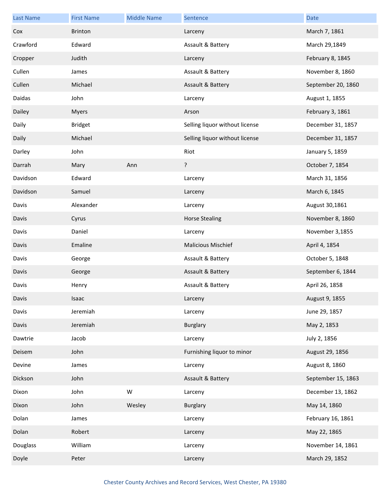| <b>Last Name</b> | <b>First Name</b> | <b>Middle Name</b> | Sentence                       | <b>Date</b>        |
|------------------|-------------------|--------------------|--------------------------------|--------------------|
| Cox              | <b>Brinton</b>    |                    | Larceny                        | March 7, 1861      |
| Crawford         | Edward            |                    | Assault & Battery              | March 29,1849      |
| Cropper          | Judith            |                    | Larceny                        | February 8, 1845   |
| Cullen           | James             |                    | Assault & Battery              | November 8, 1860   |
| Cullen           | Michael           |                    | Assault & Battery              | September 20, 1860 |
| Daidas           | John              |                    | Larceny                        | August 1, 1855     |
| Dailey           | <b>Myers</b>      |                    | Arson                          | February 3, 1861   |
| Daily            | <b>Bridget</b>    |                    | Selling liquor without license | December 31, 1857  |
| Daily            | Michael           |                    | Selling liquor without license | December 31, 1857  |
| Darley           | John              |                    | Riot                           | January 5, 1859    |
| Darrah           | Mary              | Ann                | ?                              | October 7, 1854    |
| Davidson         | Edward            |                    | Larceny                        | March 31, 1856     |
| Davidson         | Samuel            |                    | Larceny                        | March 6, 1845      |
| Davis            | Alexander         |                    | Larceny                        | August 30,1861     |
| Davis            | Cyrus             |                    | <b>Horse Stealing</b>          | November 8, 1860   |
| Davis            | Daniel            |                    | Larceny                        | November 3,1855    |
| Davis            | Emaline           |                    | <b>Malicious Mischief</b>      | April 4, 1854      |
| Davis            | George            |                    | Assault & Battery              | October 5, 1848    |
| Davis            | George            |                    | Assault & Battery              | September 6, 1844  |
| Davis            | Henry             |                    | Assault & Battery              | April 26, 1858     |
| Davis            | Isaac             |                    | Larceny                        | August 9, 1855     |
| Davis            | Jeremiah          |                    | Larceny                        | June 29, 1857      |
| Davis            | Jeremiah          |                    | <b>Burglary</b>                | May 2, 1853        |
| Dawtrie          | Jacob             |                    | Larceny                        | July 2, 1856       |
| Deisem           | John              |                    | Furnishing liquor to minor     | August 29, 1856    |
| Devine           | James             |                    | Larceny                        | August 8, 1860     |
| Dickson          | John              |                    | Assault & Battery              | September 15, 1863 |
| Dixon            | John              | W                  | Larceny                        | December 13, 1862  |
| Dixon            | John              | Wesley             | <b>Burglary</b>                | May 14, 1860       |
| Dolan            | James             |                    | Larceny                        | February 16, 1861  |
| Dolan            | Robert            |                    | Larceny                        | May 22, 1865       |
| Douglass         | William           |                    | Larceny                        | November 14, 1861  |
| Doyle            | Peter             |                    | Larceny                        | March 29, 1852     |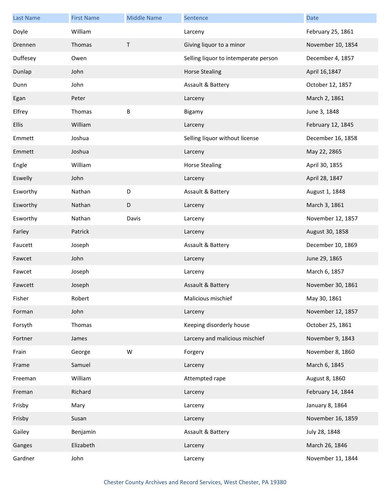| Last Name    | <b>First Name</b> | <b>Middle Name</b> | Sentence                             | <b>Date</b>       |
|--------------|-------------------|--------------------|--------------------------------------|-------------------|
| Doyle        | William           |                    | Larceny                              | February 25, 1861 |
| Drennen      | Thomas            | T                  | Giving liquor to a minor             | November 10, 1854 |
| Duffesey     | Owen              |                    | Selling liquor to intemperate person | December 4, 1857  |
| Dunlap       | John              |                    | <b>Horse Stealing</b>                | April 16,1847     |
| Dunn         | John              |                    | Assault & Battery                    | October 12, 1857  |
| Egan         | Peter             |                    | Larceny                              | March 2, 1861     |
| Elfrey       | Thomas            | B                  | Bigamy                               | June 3, 1848      |
| <b>Ellis</b> | William           |                    | Larceny                              | February 12, 1845 |
| Emmett       | Joshua            |                    | Selling liquor without license       | December 16, 1858 |
| Emmett       | Joshua            |                    | Larceny                              | May 22, 2865      |
| Engle        | William           |                    | <b>Horse Stealing</b>                | April 30, 1855    |
| Eswelly      | John              |                    | Larceny                              | April 28, 1847    |
| Esworthy     | Nathan            | D                  | Assault & Battery                    | August 1, 1848    |
| Esworthy     | Nathan            | D                  | Larceny                              | March 3, 1861     |
| Esworthy     | Nathan            | Davis              | Larceny                              | November 12, 1857 |
| Farley       | Patrick           |                    | Larceny                              | August 30, 1858   |
| Faucett      | Joseph            |                    | Assault & Battery                    | December 10, 1869 |
| Fawcet       | John              |                    | Larceny                              | June 29, 1865     |
| Fawcet       | Joseph            |                    | Larceny                              | March 6, 1857     |
| Fawcett      | Joseph            |                    | Assault & Battery                    | November 30, 1861 |
| Fisher       | Robert            |                    | Malicious mischief                   | May 30, 1861      |
| Forman       | John              |                    | Larceny                              | November 12, 1857 |
| Forsyth      | Thomas            |                    | Keeping disorderly house             | October 25, 1861  |
| Fortner      | James             |                    | Larceny and malicious mischief       | November 9, 1843  |
| Frain        | George            | W                  | Forgery                              | November 8, 1860  |
| Frame        | Samuel            |                    | Larceny                              | March 6, 1845     |
| Freeman      | William           |                    | Attempted rape                       | August 8, 1860    |
| Freman       | Richard           |                    | Larceny                              | February 14, 1844 |
| Frisby       | Mary              |                    | Larceny                              | January 8, 1864   |
| Frisby       | Susan             |                    | Larceny                              | November 16, 1859 |
| Gailey       | Benjamin          |                    | Assault & Battery                    | July 28, 1848     |
| Ganges       | Elizabeth         |                    | Larceny                              | March 26, 1846    |
| Gardner      | John              |                    | Larceny                              | November 11, 1844 |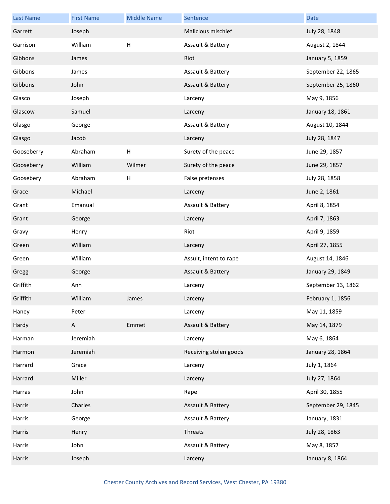| <b>Last Name</b> | <b>First Name</b> | <b>Middle Name</b> | Sentence               | <b>Date</b>        |
|------------------|-------------------|--------------------|------------------------|--------------------|
| Garrett          | Joseph            |                    | Malicious mischief     | July 28, 1848      |
| Garrison         | William           | $\sf H$            | Assault & Battery      | August 2, 1844     |
| Gibbons          | James             |                    | Riot                   | January 5, 1859    |
| Gibbons          | James             |                    | Assault & Battery      | September 22, 1865 |
| Gibbons          | John              |                    | Assault & Battery      | September 25, 1860 |
| Glasco           | Joseph            |                    | Larceny                | May 9, 1856        |
| Glascow          | Samuel            |                    | Larceny                | January 18, 1861   |
| Glasgo           | George            |                    | Assault & Battery      | August 10, 1844    |
| Glasgo           | Jacob             |                    | Larceny                | July 28, 1847      |
| Gooseberry       | Abraham           | Н                  | Surety of the peace    | June 29, 1857      |
| Gooseberry       | William           | Wilmer             | Surety of the peace    | June 29, 1857      |
| Goosebery        | Abraham           | Н                  | False pretenses        | July 28, 1858      |
| Grace            | Michael           |                    | Larceny                | June 2, 1861       |
| Grant            | Emanual           |                    | Assault & Battery      | April 8, 1854      |
| Grant            | George            |                    | Larceny                | April 7, 1863      |
| Gravy            | Henry             |                    | Riot                   | April 9, 1859      |
| Green            | William           |                    | Larceny                | April 27, 1855     |
| Green            | William           |                    | Assult, intent to rape | August 14, 1846    |
| Gregg            | George            |                    | Assault & Battery      | January 29, 1849   |
| Griffith         | Ann               |                    | Larceny                | September 13, 1862 |
| Griffith         | William           | James              | Larceny                | February 1, 1856   |
| Haney            | Peter             |                    | Larceny                | May 11, 1859       |
| Hardy            | $\mathsf{A}$      | Emmet              | Assault & Battery      | May 14, 1879       |
| Harman           | Jeremiah          |                    | Larceny                | May 6, 1864        |
| Harmon           | Jeremiah          |                    | Receiving stolen goods | January 28, 1864   |
| Harrard          | Grace             |                    | Larceny                | July 1, 1864       |
| Harrard          | Miller            |                    | Larceny                | July 27, 1864      |
| Harras           | John              |                    | Rape                   | April 30, 1855     |
| Harris           | Charles           |                    | Assault & Battery      | September 29, 1845 |
| Harris           | George            |                    | Assault & Battery      | January, 1831      |
| Harris           | Henry             |                    | Threats                | July 28, 1863      |
| Harris           | John              |                    | Assault & Battery      | May 8, 1857        |
| Harris           | Joseph            |                    | Larceny                | January 8, 1864    |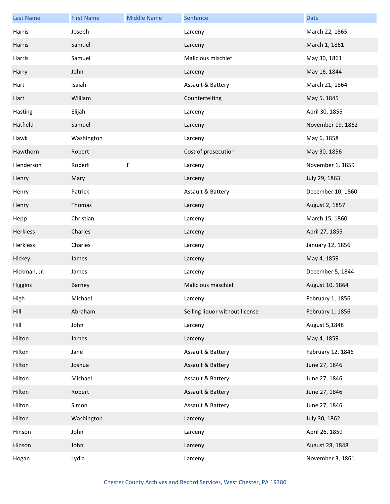| <b>Last Name</b> | <b>First Name</b> | <b>Middle Name</b> | Sentence                       | <b>Date</b>       |
|------------------|-------------------|--------------------|--------------------------------|-------------------|
| Harris           | Joseph            |                    | Larceny                        | March 22, 1865    |
| Harris           | Samuel            |                    | Larceny                        | March 1, 1861     |
| Harris           | Samuel            |                    | Malicious mischief             | May 30, 1861      |
| Harry            | John              |                    | Larceny                        | May 16, 1844      |
| Hart             | Isaiah            |                    | Assault & Battery              | March 21, 1864    |
| Hart             | William           |                    | Counterfeiting                 | May 5, 1845       |
| Hasting          | Elijah            |                    | Larceny                        | April 30, 1855    |
| Hatfield         | Samuel            |                    | Larceny                        | November 19, 1862 |
| Hawk             | Washington        |                    | Larceny                        | May 6, 1858       |
| Hawthorn         | Robert            |                    | Cost of prosecution            | May 30, 1856      |
| Henderson        | Robert            | F                  | Larceny                        | November 1, 1859  |
| Henry            | Mary              |                    | Larceny                        | July 29, 1863     |
| Henry            | Patrick           |                    | Assault & Battery              | December 10, 1860 |
| Henry            | Thomas            |                    | Larceny                        | August 2, 1857    |
| Hepp             | Christian         |                    | Larceny                        | March 15, 1860    |
| Herkless         | Charles           |                    | Larceny                        | April 27, 1855    |
| Herkless         | Charles           |                    | Larceny                        | January 12, 1856  |
| Hickey           | James             |                    | Larceny                        | May 4, 1859       |
| Hickman, Jr.     | James             |                    | Larceny                        | December 5, 1844  |
| Higgins          | Barney            |                    | Malicious maschief             | August 10, 1864   |
| High             | Michael           |                    | Larceny                        | February 1, 1856  |
| Hill             | Abraham           |                    | Selling liquor without license | February 1, 1856  |
| Hill             | John              |                    | Larceny                        | August 5,1848     |
| Hilton           | James             |                    | Larceny                        | May 4, 1859       |
| Hilton           | Jane              |                    | Assault & Battery              | February 12, 1846 |
| Hilton           | Joshua            |                    | Assault & Battery              | June 27, 1846     |
| Hilton           | Michael           |                    | Assault & Battery              | June 27, 1846     |
| Hilton           | Robert            |                    | Assault & Battery              | June 27, 1846     |
| Hilton           | Simon             |                    | Assault & Battery              | June 27, 1846     |
| Hilton           | Washington        |                    | Larceny                        | July 30, 1862     |
| Hinson           | John              |                    | Larceny                        | April 26, 1859    |
| Hinson           | John              |                    | Larceny                        | August 28, 1848   |
| Hogan            | Lydia             |                    | Larceny                        | November 3, 1861  |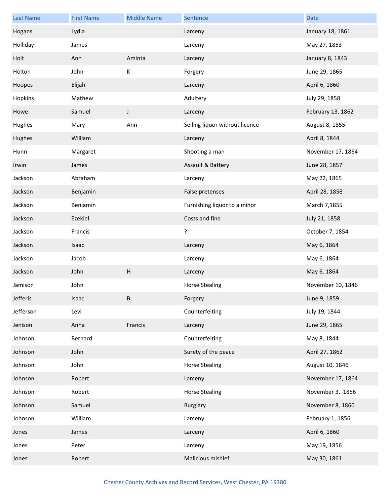| <b>Last Name</b> | <b>First Name</b> | <b>Middle Name</b>        | Sentence                       | <b>Date</b>       |
|------------------|-------------------|---------------------------|--------------------------------|-------------------|
| Hogans           | Lydia             |                           | Larceny                        | January 18, 1861  |
| Holliday         | James             |                           | Larceny                        | May 27, 1853      |
| Holt             | Ann               | Aminta                    | Larceny                        | January 8, 1843   |
| Holton           | John              | Κ                         | Forgery                        | June 29, 1865     |
| Hoopes           | Elijah            |                           | Larceny                        | April 6, 1860     |
| Hopkins          | Mathew            |                           | Adultery                       | July 29, 1858     |
| Howe             | Samuel            | J                         | Larceny                        | February 13, 1862 |
| Hughes           | Mary              | Ann                       | Selling liquor without licence | August 8, 1855    |
| Hughes           | William           |                           | Larceny                        | April 8, 1844     |
| Hunn             | Margaret          |                           | Shooting a man                 | November 17, 1864 |
| Irwin            | James             |                           | Assault & Battery              | June 28, 1857     |
| Jackson          | Abraham           |                           | Larceny                        | May 22, 1865      |
| Jackson          | Benjamin          |                           | False pretenses                | April 28, 1858    |
| Jackson          | Benjamin          |                           | Furnishing liquor to a minor   | March 7,1855      |
| Jackson          | Ezekiel           |                           | Costs and fine                 | July 21, 1858     |
| Jackson          | Francis           |                           | ?                              | October 7, 1854   |
| Jackson          | Isaac             |                           | Larceny                        | May 6, 1864       |
| Jackson          | Jacob             |                           | Larceny                        | May 6, 1864       |
| Jackson          | John              | $\boldsymbol{\mathsf{H}}$ | Larceny                        | May 6, 1864       |
| Jamison          | John              |                           | <b>Horse Stealing</b>          | November 10, 1846 |
| Jefferis         | Isaac             | B                         | Forgery                        | June 9, 1859      |
| Jefferson        | Levi              |                           | Counterfeiting                 | July 19, 1844     |
| Jenison          | Anna              | Francis                   | Larceny                        | June 29, 1865     |
| Johnson          | Bernard           |                           | Counterfeiting                 | May 8, 1844       |
| Johnson          | John              |                           | Surety of the peace            | April 27, 1862    |
| Johnson          | John              |                           | <b>Horse Stealing</b>          | August 10, 1846   |
| Johnson          | Robert            |                           | Larceny                        | November 17, 1864 |
| Johnson          | Robert            |                           | <b>Horse Stealing</b>          | November 3, 1856  |
| Johnson          | Samuel            |                           | Burglary                       | November 8, 1860  |
| Johnson          | William           |                           | Larceny                        | February 1, 1856  |
| Jones            | James             |                           | Larceny                        | April 6, 1860     |
| Jones            | Peter             |                           | Larceny                        | May 19, 1856      |
| Jones            | Robert            |                           | Malicious mishief              | May 30, 1861      |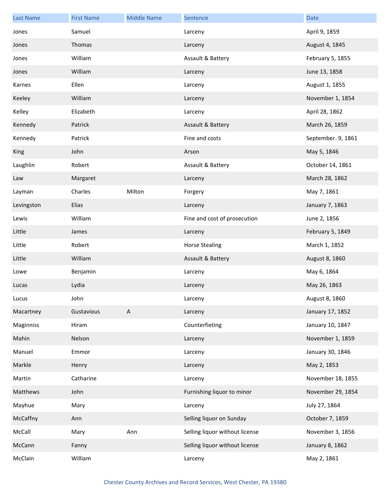| <b>Last Name</b> | <b>First Name</b> | <b>Middle Name</b> | Sentence                       | <b>Date</b>        |
|------------------|-------------------|--------------------|--------------------------------|--------------------|
| Jones            | Samuel            |                    | Larceny                        | April 9, 1859      |
| Jones            | Thomas            |                    | Larceny                        | August 4, 1845     |
| Jones            | William           |                    | Assault & Battery              | February 5, 1855   |
| Jones            | William           |                    | Larceny                        | June 13, 1858      |
| Karnes           | Ellen             |                    | Larceny                        | August 1, 1855     |
| Keeley           | William           |                    | Larceny                        | November 1, 1854   |
| Kelley           | Elizabeth         |                    | Larceny                        | April 28, 1862     |
| Kennedy          | Patrick           |                    | Assault & Battery              | March 26, 1859     |
| Kennedy          | Patrick           |                    | Fine and costs                 | September. 9, 1861 |
| <b>King</b>      | John              |                    | Arson                          | May 5, 1846        |
| Laughlin         | Robert            |                    | Assault & Battery              | October 14, 1861   |
| Law              | Margaret          |                    | Larceny                        | March 28, 1862     |
| Layman           | Charles           | Milton             | Forgery                        | May 7, 1861        |
| Levingston       | Elias             |                    | Larceny                        | January 7, 1863    |
| Lewis            | William           |                    | Fine and cost of prosecution   | June 2, 1856       |
| Little           | James             |                    | Larceny                        | February 5, 1849   |
| Little           | Robert            |                    | <b>Horse Stealing</b>          | March 1, 1852      |
| Little           | William           |                    | Assault & Battery              | August 8, 1860     |
| Lowe             | Benjamin          |                    | Larceny                        | May 6, 1864        |
| Lucas            | Lydia             |                    | Larceny                        | May 26, 1863       |
| Lucus            | John              |                    | Larceny                        | August 8, 1860     |
| Macartney        | Gustavious        | A                  | Larceny                        | January 17, 1852   |
| Maginniss        | Hiram             |                    | Counterfieting                 | January 10, 1847   |
| Mahin            | Nelson            |                    | Larceny                        | November 1, 1859   |
| Manuel           | Emmor             |                    | Larceny                        | January 30, 1846   |
| Markle           | Henry             |                    | Larceny                        | May 2, 1853        |
| Martin           | Catharine         |                    | Larceny                        | November 18, 1855  |
| Matthews         | John              |                    | Furnishing liquor to minor     | November 29, 1854  |
| Mayhue           | Mary              |                    | Larceny                        | July 27, 1864      |
| McCaffny         | Ann               |                    | Selling liquor on Sunday       | October 7, 1859    |
| McCall           | Mary              | Ann                | Selling liquor without license | November 3, 1856   |
| McCann           | Fanny             |                    | Selling liquor without license | January 8, 1862    |
| McClain          | William           |                    | Larceny                        | May 2, 1861        |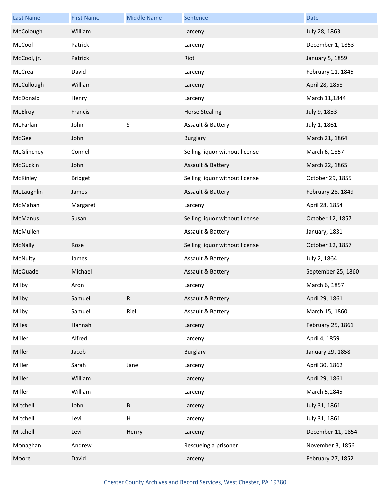| <b>Last Name</b> | <b>First Name</b> | <b>Middle Name</b> | Sentence                       | Date               |
|------------------|-------------------|--------------------|--------------------------------|--------------------|
| McColough        | William           |                    | Larceny                        | July 28, 1863      |
| McCool           | Patrick           |                    | Larceny                        | December 1, 1853   |
| McCool, jr.      | Patrick           |                    | Riot                           | January 5, 1859    |
| McCrea           | David             |                    | Larceny                        | February 11, 1845  |
| McCullough       | William           |                    | Larceny                        | April 28, 1858     |
| McDonald         | Henry             |                    | Larceny                        | March 11,1844      |
| McElroy          | Francis           |                    | <b>Horse Stealing</b>          | July 9, 1853       |
| McFarlan         | John              | S                  | Assault & Battery              | July 1, 1861       |
| McGee            | John              |                    | <b>Burglary</b>                | March 21, 1864     |
| McGlinchey       | Connell           |                    | Selling liquor without license | March 6, 1857      |
| McGuckin         | John              |                    | Assault & Battery              | March 22, 1865     |
| McKinley         | <b>Bridget</b>    |                    | Selling liquor without license | October 29, 1855   |
| McLaughlin       | James             |                    | Assault & Battery              | February 28, 1849  |
| McMahan          | Margaret          |                    | Larceny                        | April 28, 1854     |
| McManus          | Susan             |                    | Selling liquor without license | October 12, 1857   |
| McMullen         |                   |                    | Assault & Battery              | January, 1831      |
| McNally          | Rose              |                    | Selling liquor without license | October 12, 1857   |
| McNulty          | James             |                    | Assault & Battery              | July 2, 1864       |
| McQuade          | Michael           |                    | Assault & Battery              | September 25, 1860 |
| Milby            | Aron              |                    | Larceny                        | March 6, 1857      |
| Milby            | Samuel            | R                  | Assault & Battery              | April 29, 1861     |
| Milby            | Samuel            | Riel               | Assault & Battery              | March 15, 1860     |
| Miles            | Hannah            |                    | Larceny                        | February 25, 1861  |
| Miller           | Alfred            |                    | Larceny                        | April 4, 1859      |
| Miller           | Jacob             |                    | <b>Burglary</b>                | January 29, 1858   |
| Miller           | Sarah             | Jane               | Larceny                        | April 30, 1862     |
| Miller           | William           |                    | Larceny                        | April 29, 1861     |
| Miller           | William           |                    | Larceny                        | March 5,1845       |
| Mitchell         | John              | $\sf B$            | Larceny                        | July 31, 1861      |
| Mitchell         | Levi              | $\sf H$            | Larceny                        | July 31, 1861      |
| Mitchell         | Levi              | Henry              | Larceny                        | December 11, 1854  |
| Monaghan         | Andrew            |                    | Rescueing a prisoner           | November 3, 1856   |
| Moore            | David             |                    | Larceny                        | February 27, 1852  |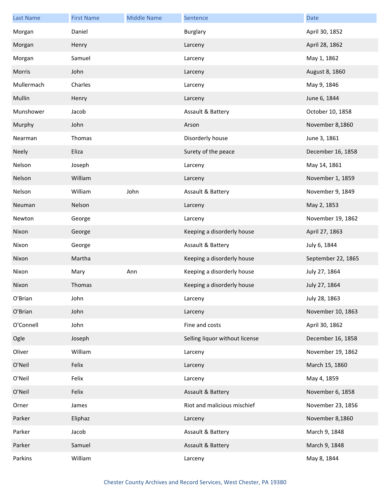| <b>Last Name</b> | <b>First Name</b> | <b>Middle Name</b> | Sentence                       | Date               |
|------------------|-------------------|--------------------|--------------------------------|--------------------|
| Morgan           | Daniel            |                    | Burglary                       | April 30, 1852     |
| Morgan           | Henry             |                    | Larceny                        | April 28, 1862     |
| Morgan           | Samuel            |                    | Larceny                        | May 1, 1862        |
| Morris           | John              |                    | Larceny                        | August 8, 1860     |
| Mullermach       | Charles           |                    | Larceny                        | May 9, 1846        |
| Mullin           | Henry             |                    | Larceny                        | June 6, 1844       |
| Munshower        | Jacob             |                    | Assault & Battery              | October 10, 1858   |
| Murphy           | John              |                    | Arson                          | November 8,1860    |
| Nearman          | Thomas            |                    | Disorderly house               | June 3, 1861       |
| <b>Neely</b>     | Eliza             |                    | Surety of the peace            | December 16, 1858  |
| Nelson           | Joseph            |                    | Larceny                        | May 14, 1861       |
| Nelson           | William           |                    | Larceny                        | November 1, 1859   |
| Nelson           | William           | John               | Assault & Battery              | November 9, 1849   |
| Neuman           | Nelson            |                    | Larceny                        | May 2, 1853        |
| Newton           | George            |                    | Larceny                        | November 19, 1862  |
| Nixon            | George            |                    | Keeping a disorderly house     | April 27, 1863     |
| Nixon            | George            |                    | Assault & Battery              | July 6, 1844       |
| Nixon            | Martha            |                    | Keeping a disorderly house     | September 22, 1865 |
| Nixon            | Mary              | Ann                | Keeping a disorderly house     | July 27, 1864      |
| Nixon            | Thomas            |                    | Keeping a disorderly house     | July 27, 1864      |
| O'Brian          | John              |                    | Larceny                        | July 28, 1863      |
| O'Brian          | John              |                    | Larceny                        | November 10, 1863  |
| O'Connell        | John              |                    | Fine and costs                 | April 30, 1862     |
| Ogle             | Joseph            |                    | Selling liquor without license | December 16, 1858  |
| Oliver           | William           |                    | Larceny                        | November 19, 1862  |
| O'Neil           | Felix             |                    | Larceny                        | March 15, 1860     |
| O'Neil           | Felix             |                    | Larceny                        | May 4, 1859        |
| O'Neil           | Felix             |                    | Assault & Battery              | November 6, 1858   |
| Orner            | James             |                    | Riot and malicious mischief    | November 23, 1856  |
| Parker           | Eliphaz           |                    | Larceny                        | November 8,1860    |
| Parker           | Jacob             |                    | Assault & Battery              | March 9, 1848      |
| Parker           | Samuel            |                    | Assault & Battery              | March 9, 1848      |
| Parkins          | William           |                    | Larceny                        | May 8, 1844        |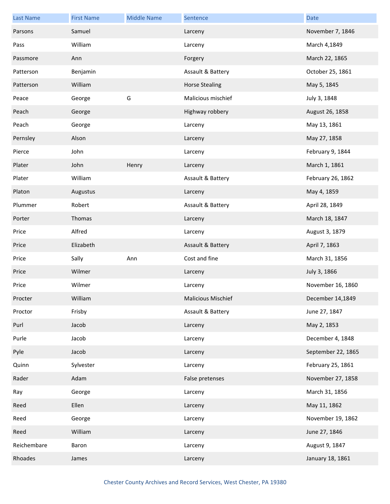| <b>Last Name</b> | <b>First Name</b> | <b>Middle Name</b> | Sentence                  | <b>Date</b>        |
|------------------|-------------------|--------------------|---------------------------|--------------------|
| Parsons          | Samuel            |                    | Larceny                   | November 7, 1846   |
| Pass             | William           |                    | Larceny                   | March 4,1849       |
| Passmore         | Ann               |                    | Forgery                   | March 22, 1865     |
| Patterson        | Benjamin          |                    | Assault & Battery         | October 25, 1861   |
| Patterson        | William           |                    | <b>Horse Stealing</b>     | May 5, 1845        |
| Peace            | George            | G                  | Malicious mischief        | July 3, 1848       |
| Peach            | George            |                    | Highway robbery           | August 26, 1858    |
| Peach            | George            |                    | Larceny                   | May 13, 1861       |
| Pernsley         | Alson             |                    | Larceny                   | May 27, 1858       |
| Pierce           | John              |                    | Larceny                   | February 9, 1844   |
| Plater           | John              | Henry              | Larceny                   | March 1, 1861      |
| Plater           | William           |                    | Assault & Battery         | February 26, 1862  |
| Platon           | Augustus          |                    | Larceny                   | May 4, 1859        |
| Plummer          | Robert            |                    | Assault & Battery         | April 28, 1849     |
| Porter           | Thomas            |                    | Larceny                   | March 18, 1847     |
| Price            | Alfred            |                    | Larceny                   | August 3, 1879     |
| Price            | Elizabeth         |                    | Assault & Battery         | April 7, 1863      |
| Price            | Sally             | Ann                | Cost and fine             | March 31, 1856     |
| Price            | Wilmer            |                    | Larceny                   | July 3, 1866       |
| Price            | Wilmer            |                    | Larceny                   | November 16, 1860  |
| Procter          | William           |                    | <b>Malicious Mischief</b> | December 14,1849   |
| Proctor          | Frisby            |                    | Assault & Battery         | June 27, 1847      |
| Purl             | Jacob             |                    | Larceny                   | May 2, 1853        |
| Purle            | Jacob             |                    | Larceny                   | December 4, 1848   |
| Pyle             | Jacob             |                    | Larceny                   | September 22, 1865 |
| Quinn            | Sylvester         |                    | Larceny                   | February 25, 1861  |
| Rader            | Adam              |                    | False pretenses           | November 27, 1858  |
| Ray              | George            |                    | Larceny                   | March 31, 1856     |
| Reed             | Ellen             |                    | Larceny                   | May 11, 1862       |
| Reed             | George            |                    | Larceny                   | November 19, 1862  |
| Reed             | William           |                    | Larceny                   | June 27, 1846      |
| Reichembare      | Baron             |                    | Larceny                   | August 9, 1847     |
| Rhoades          | James             |                    | Larceny                   | January 18, 1861   |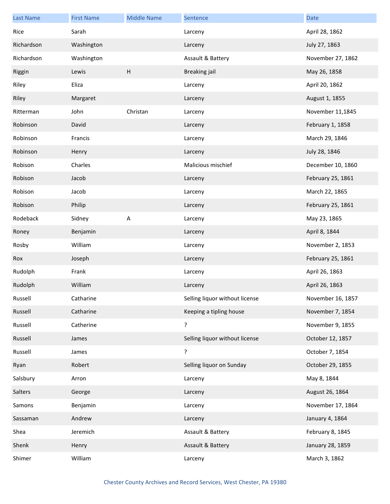| <b>Last Name</b> | <b>First Name</b> | <b>Middle Name</b> | Sentence                       | <b>Date</b>       |
|------------------|-------------------|--------------------|--------------------------------|-------------------|
| Rice             | Sarah             |                    | Larceny                        | April 28, 1862    |
| Richardson       | Washington        |                    | Larceny                        | July 27, 1863     |
| Richardson       | Washington        |                    | Assault & Battery              | November 27, 1862 |
| Riggin           | Lewis             | H                  | <b>Breaking jail</b>           | May 26, 1858      |
| Riley            | Eliza             |                    | Larceny                        | April 20, 1862    |
| Riley            | Margaret          |                    | Larceny                        | August 1, 1855    |
| Ritterman        | John              | Christan           | Larceny                        | November 11,1845  |
| Robinson         | David             |                    | Larceny                        | February 1, 1858  |
| Robinson         | Francis           |                    | Larceny                        | March 29, 1846    |
| Robinson         | Henry             |                    | Larceny                        | July 28, 1846     |
| Robison          | Charles           |                    | Malicious mischief             | December 10, 1860 |
| Robison          | Jacob             |                    | Larceny                        | February 25, 1861 |
| Robison          | Jacob             |                    | Larceny                        | March 22, 1865    |
| Robison          | Philip            |                    | Larceny                        | February 25, 1861 |
| Rodeback         | Sidney            | $\sf A$            | Larceny                        | May 23, 1865      |
| Roney            | Benjamin          |                    | Larceny                        | April 8, 1844     |
| Rosby            | William           |                    | Larceny                        | November 2, 1853  |
| Rox              | Joseph            |                    | Larceny                        | February 25, 1861 |
| Rudolph          | Frank             |                    | Larceny                        | April 26, 1863    |
| Rudolph          | William           |                    | Larceny                        | April 26, 1863    |
| Russell          | Catharine         |                    | Selling liquor without license | November 16, 1857 |
| Russell          | Catharine         |                    | Keeping a tipling house        | November 7, 1854  |
| Russell          | Catherine         |                    | ŗ                              | November 9, 1855  |
| Russell          | James             |                    | Selling liquor without license | October 12, 1857  |
| Russell          | James             |                    | ŗ                              | October 7, 1854   |
| Ryan             | Robert            |                    | Selling liquor on Sunday       | October 29, 1855  |
| Salsbury         | Arron             |                    | Larceny                        | May 8, 1844       |
| Salters          | George            |                    | Larceny                        | August 26, 1864   |
| Samons           | Benjamin          |                    | Larceny                        | November 17, 1864 |
| Sassaman         | Andrew            |                    | Larceny                        | January 4, 1864   |
| Shea             | Jeremich          |                    | Assault & Battery              | February 8, 1845  |
| Shenk            | Henry             |                    | Assault & Battery              | January 28, 1859  |
| Shimer           | William           |                    | Larceny                        | March 3, 1862     |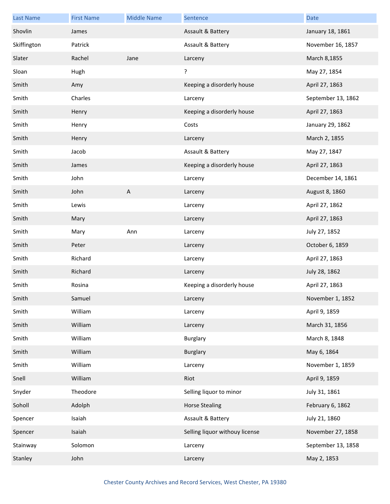| <b>Last Name</b> | <b>First Name</b> | <b>Middle Name</b> | Sentence                       | <b>Date</b>        |
|------------------|-------------------|--------------------|--------------------------------|--------------------|
| Shovlin          | James             |                    | Assault & Battery              | January 18, 1861   |
| Skiffington      | Patrick           |                    | Assault & Battery              | November 16, 1857  |
| Slater           | Rachel            | Jane               | Larceny                        | March 8,1855       |
| Sloan            | Hugh              |                    | ŗ                              | May 27, 1854       |
| Smith            | Amy               |                    | Keeping a disorderly house     | April 27, 1863     |
| Smith            | Charles           |                    | Larceny                        | September 13, 1862 |
| Smith            | Henry             |                    | Keeping a disorderly house     | April 27, 1863     |
| Smith            | Henry             |                    | Costs                          | January 29, 1862   |
| Smith            | Henry             |                    | Larceny                        | March 2, 1855      |
| Smith            | Jacob             |                    | Assault & Battery              | May 27, 1847       |
| Smith            | James             |                    | Keeping a disorderly house     | April 27, 1863     |
| Smith            | John              |                    | Larceny                        | December 14, 1861  |
| Smith            | John              | A                  | Larceny                        | August 8, 1860     |
| Smith            | Lewis             |                    | Larceny                        | April 27, 1862     |
| Smith            | Mary              |                    | Larceny                        | April 27, 1863     |
| Smith            | Mary              | Ann                | Larceny                        | July 27, 1852      |
| Smith            | Peter             |                    | Larceny                        | October 6, 1859    |
| Smith            | Richard           |                    | Larceny                        | April 27, 1863     |
| Smith            | Richard           |                    | Larceny                        | July 28, 1862      |
| Smith            | Rosina            |                    | Keeping a disorderly house     | April 27, 1863     |
| Smith            | Samuel            |                    | Larceny                        | November 1, 1852   |
| Smith            | William           |                    | Larceny                        | April 9, 1859      |
| Smith            | William           |                    | Larceny                        | March 31, 1856     |
| Smith            | William           |                    | <b>Burglary</b>                | March 8, 1848      |
| Smith            | William           |                    | <b>Burglary</b>                | May 6, 1864        |
| Smith            | William           |                    | Larceny                        | November 1, 1859   |
| Snell            | William           |                    | Riot                           | April 9, 1859      |
| Snyder           | Theodore          |                    | Selling liquor to minor        | July 31, 1861      |
| Soholl           | Adolph            |                    | <b>Horse Stealing</b>          | February 6, 1862   |
| Spencer          | Isaiah            |                    | Assault & Battery              | July 21, 1860      |
| Spencer          | Isaiah            |                    | Selling liquor withouy license | November 27, 1858  |
| Stainway         | Solomon           |                    | Larceny                        | September 13, 1858 |
| Stanley          | John              |                    | Larceny                        | May 2, 1853        |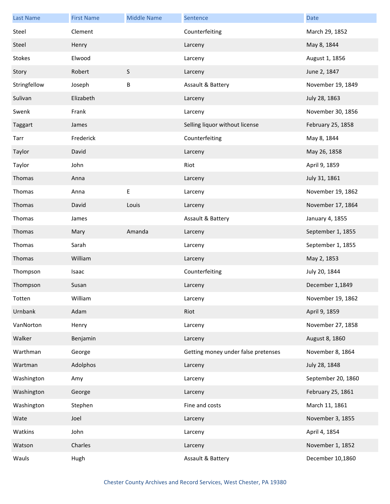| <b>Last Name</b> | <b>First Name</b> | <b>Middle Name</b> | Sentence                            | <b>Date</b>        |
|------------------|-------------------|--------------------|-------------------------------------|--------------------|
| Steel            | Clement           |                    | Counterfeiting                      | March 29, 1852     |
| Steel            | Henry             |                    | Larceny                             | May 8, 1844        |
| Stokes           | Elwood            |                    | Larceny                             | August 1, 1856     |
| Story            | Robert            | $\sf S$            | Larceny                             | June 2, 1847       |
| Stringfellow     | Joseph            | $\sf B$            | Assault & Battery                   | November 19, 1849  |
| Sulivan          | Elizabeth         |                    | Larceny                             | July 28, 1863      |
| Swenk            | Frank             |                    | Larceny                             | November 30, 1856  |
| Taggart          | James             |                    | Selling liquor without license      | February 25, 1858  |
| Tarr             | Frederick         |                    | Counterfeiting                      | May 8, 1844        |
| Taylor           | David             |                    | Larceny                             | May 26, 1858       |
| Taylor           | John              |                    | Riot                                | April 9, 1859      |
| Thomas           | Anna              |                    | Larceny                             | July 31, 1861      |
| Thomas           | Anna              | E                  | Larceny                             | November 19, 1862  |
| Thomas           | David             | Louis              | Larceny                             | November 17, 1864  |
| Thomas           | James             |                    | Assault & Battery                   | January 4, 1855    |
| Thomas           | Mary              | Amanda             | Larceny                             | September 1, 1855  |
| Thomas           | Sarah             |                    | Larceny                             | September 1, 1855  |
| Thomas           | William           |                    | Larceny                             | May 2, 1853        |
| Thompson         | Isaac             |                    | Counterfeiting                      | July 20, 1844      |
| Thompson         | Susan             |                    | Larceny                             | December 1,1849    |
| Totten           | William           |                    | Larceny                             | November 19, 1862  |
| Urnbank          | Adam              |                    | Riot                                | April 9, 1859      |
| VanNorton        | Henry             |                    | Larceny                             | November 27, 1858  |
| Walker           | Benjamin          |                    | Larceny                             | August 8, 1860     |
| Warthman         | George            |                    | Getting money under false pretenses | November 8, 1864   |
| Wartman          | Adolphos          |                    | Larceny                             | July 28, 1848      |
| Washington       | Amy               |                    | Larceny                             | September 20, 1860 |
| Washington       | George            |                    | Larceny                             | February 25, 1861  |
| Washington       | Stephen           |                    | Fine and costs                      | March 11, 1861     |
| Wate             | Joel              |                    | Larceny                             | November 3, 1855   |
| Watkins          | John              |                    | Larceny                             | April 4, 1854      |
| Watson           | Charles           |                    | Larceny                             | November 1, 1852   |
| Wauls            | Hugh              |                    | Assault & Battery                   | December 10,1860   |